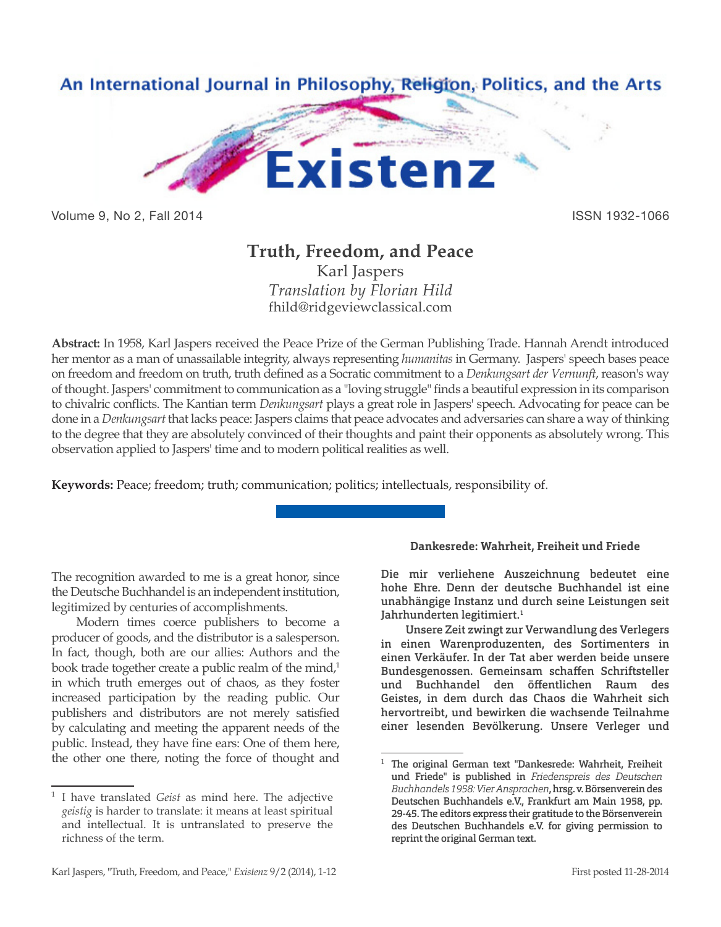

Volume 9, No 2, Fall 2014 **ISSN 1932-1066** 

# **Truth, Freedom, and Peace**

Karl Jaspers *Translation by Florian Hild* fhild@ridgeviewclassical.com

**Abstract:** In 1958, Karl Jaspers received the Peace Prize of the German Publishing Trade. Hannah Arendt introduced her mentor as a man of unassailable integrity, always representing *humanitas* in Germany. Jaspers' speech bases peace on freedom and freedom on truth, truth defined as a Socratic commitment to a *Denkungsart der Vernunft*, reason's way of thought. Jaspers' commitment to communication as a "loving struggle" finds a beautiful expression in its comparison to chivalric conflicts. The Kantian term *Denkungsart* plays a great role in Jaspers' speech. Advocating for peace can be done in a *Denkungsart* that lacks peace: Jaspers claims that peace advocates and adversaries can share a way of thinking to the degree that they are absolutely convinced of their thoughts and paint their opponents as absolutely wrong. This observation applied to Jaspers' time and to modern political realities as well.

**Keywords:** Peace; freedom; truth; communication; politics; intellectuals, responsibility of.

The recognition awarded to me is a great honor, since the Deutsche Buchhandel is an independent institution, legitimized by centuries of accomplishments.

Modern times coerce publishers to become a producer of goods, and the distributor is a salesperson. In fact, though, both are our allies: Authors and the book trade together create a public realm of the mind,<sup>1</sup> in which truth emerges out of chaos, as they foster increased participation by the reading public. Our publishers and distributors are not merely satisfied by calculating and meeting the apparent needs of the public. Instead, they have fine ears: One of them here, the other one there, noting the force of thought and

## **Dankesrede: Wahrheit, Freiheit und Friede**

Die mir verliehene Auszeichnung bedeutet eine hohe Ehre. Denn der deutsche Buchhandel ist eine unabhängige Instanz und durch seine Leistungen seit Jahrhunderten legitimiert.<sup>1</sup>

Unsere Zeit zwingt zur Verwandlung des Verlegers in einen Warenproduzenten, des Sortimenters in einen Verkäufer. In der Tat aber werden beide unsere Bundesgenossen. Gemeinsam schaffen Schriftsteller und Buchhandel den öffentlichen Raum des Geistes, in dem durch das Chaos die Wahrheit sich hervortreibt, und bewirken die wachsende Teilnahme einer lesenden Bevölkerung. Unsere Verleger und

<sup>1</sup> I have translated *Geist* as mind here. The adjective *geistig* is harder to translate: it means at least spiritual and intellectual. It is untranslated to preserve the richness of the term.

<sup>1</sup> The original German text "Dankesrede: Wahrheit, Freiheit und Friede" is published in *Friedenspreis des Deutschen Buchhandels 1958: Vier Ansprachen*, hrsg. v. Börsenverein des Deutschen Buchhandels e.V., Frankfurt am Main 1958, pp. 29-45. The editors express their gratitude to the Börsenverein des Deutschen Buchhandels e.V. for giving permission to reprint the original German text.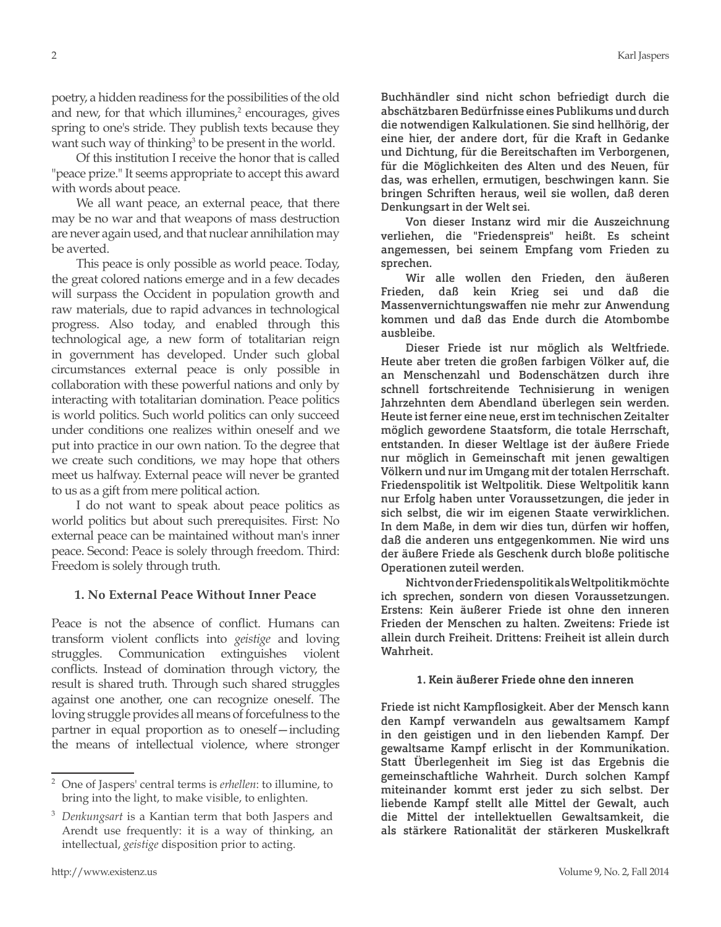poetry, a hidden readiness for the possibilities of the old and new, for that which illumines,<sup>2</sup> encourages, gives spring to one's stride. They publish texts because they

want such way of thinking<sup>3</sup> to be present in the world. Of this institution I receive the honor that is called "peace prize." It seems appropriate to accept this award with words about peace.

We all want peace, an external peace, that there may be no war and that weapons of mass destruction are never again used, and that nuclear annihilation may be averted.

This peace is only possible as world peace. Today, the great colored nations emerge and in a few decades will surpass the Occident in population growth and raw materials, due to rapid advances in technological progress. Also today, and enabled through this technological age, a new form of totalitarian reign in government has developed. Under such global circumstances external peace is only possible in collaboration with these powerful nations and only by interacting with totalitarian domination. Peace politics is world politics. Such world politics can only succeed under conditions one realizes within oneself and we put into practice in our own nation. To the degree that we create such conditions, we may hope that others meet us halfway. External peace will never be granted to us as a gift from mere political action.

I do not want to speak about peace politics as world politics but about such prerequisites. First: No external peace can be maintained without man's inner peace. Second: Peace is solely through freedom. Third: Freedom is solely through truth.

## **1. No External Peace Without Inner Peace**

Peace is not the absence of conflict. Humans can transform violent conflicts into *geistige* and loving struggles. Communication extinguishes violent conflicts. Instead of domination through victory, the result is shared truth. Through such shared struggles against one another, one can recognize oneself. The loving struggle provides all means of forcefulness to the partner in equal proportion as to oneself—including the means of intellectual violence, where stronger

Buchhändler sind nicht schon befriedigt durch die abschätzbaren Bedürfnisse eines Publikums und durch die notwendigen Kalkulationen. Sie sind hellhörig, der eine hier, der andere dort, für die Kraft in Gedanke und Dichtung, für die Bereitschaften im Verborgenen, für die Möglichkeiten des Alten und des Neuen, für das, was erhellen, ermutigen, beschwingen kann. Sie bringen Schriften heraus, weil sie wollen, daß deren Denkungsart in der Welt sei.

Von dieser Instanz wird mir die Auszeichnung verliehen, die "Friedenspreis" heißt. Es scheint angemessen, bei seinem Empfang vom Frieden zu sprechen.

Wir alle wollen den Frieden, den äußeren Frieden, daß kein Krieg sei und daß die Massenvernichtungswaffen nie mehr zur Anwendung kommen und daß das Ende durch die Atombombe ausbleibe.

Dieser Friede ist nur möglich als Weltfriede. Heute aber treten die großen farbigen Völker auf, die an Menschenzahl und Bodenschätzen durch ihre schnell fortschreitende Technisierung in wenigen Jahrzehnten dem Abendland überlegen sein werden. Heute ist ferner eine neue, erst im technischen Zeitalter möglich gewordene Staatsform, die totale Herrschaft, entstanden. In dieser Weltlage ist der äußere Friede nur möglich in Gemeinschaft mit jenen gewaltigen Völkern und nur im Umgang mit der totalen Herrschaft. Friedenspolitik ist Weltpolitik. Diese Weltpolitik kann nur Erfolg haben unter Voraussetzungen, die jeder in sich selbst, die wir im eigenen Staate verwirklichen. In dem Maße, in dem wir dies tun, dürfen wir hoffen, daß die anderen uns entgegenkommen. Nie wird uns der äußere Friede als Geschenk durch bloße politische Operationen zuteil werden.

Nicht von der Friedenspolitik als Weltpolitik möchte ich sprechen, sondern von diesen Voraussetzungen. Erstens: Kein äußerer Friede ist ohne den inneren Frieden der Menschen zu halten. Zweitens: Friede ist allein durch Freiheit. Drittens: Freiheit ist allein durch Wahrheit.

## **1. Kein äußerer Friede ohne den inneren**

Friede ist nicht Kampflosigkeit. Aber der Mensch kann den Kampf verwandeln aus gewaltsamem Kampf in den geistigen und in den liebenden Kampf. Der gewaltsame Kampf erlischt in der Kommunikation. Statt Überlegenheit im Sieg ist das Ergebnis die gemeinschaftliche Wahrheit. Durch solchen Kampf miteinander kommt erst jeder zu sich selbst. Der liebende Kampf stellt alle Mittel der Gewalt, auch die Mittel der intellektuellen Gewaltsamkeit, die als stärkere Rationalität der stärkeren Muskelkraft

<sup>2</sup> One of Jaspers' central terms is *erhellen*: to illumine, to bring into the light, to make visible, to enlighten.

<sup>3</sup> *Denkungsart* is a Kantian term that both Jaspers and Arendt use frequently: it is a way of thinking, an intellectual, *geistige* disposition prior to acting.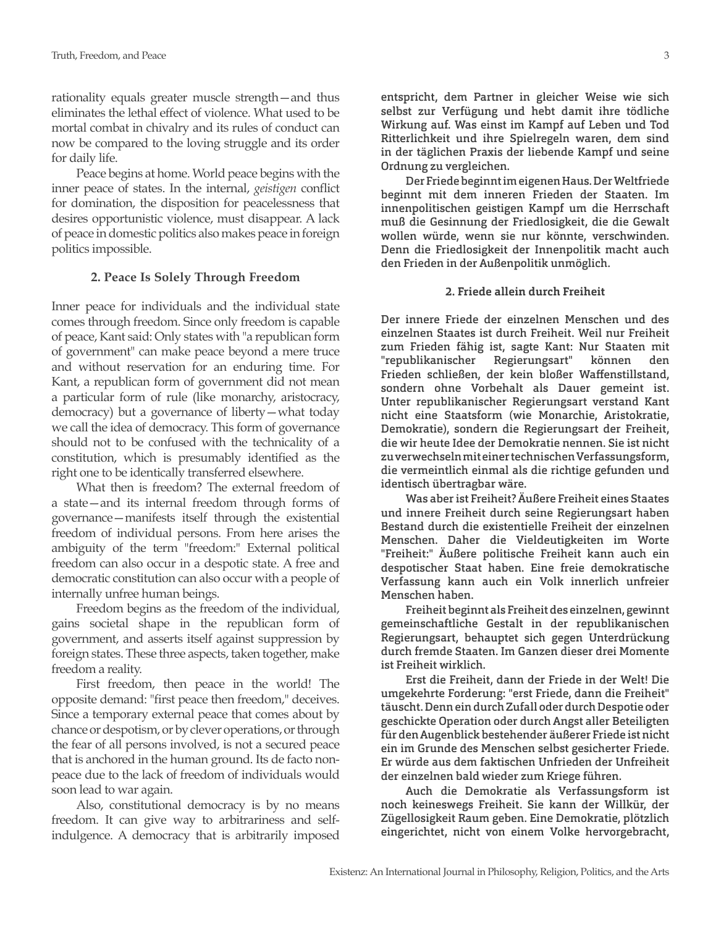rationality equals greater muscle strength—and thus eliminates the lethal effect of violence. What used to be mortal combat in chivalry and its rules of conduct can now be compared to the loving struggle and its order for daily life.

Peace begins at home. World peace begins with the inner peace of states. In the internal, *geistigen* conflict for domination, the disposition for peacelessness that desires opportunistic violence, must disappear. A lack of peace in domestic politics also makes peace in foreign politics impossible.

#### **2. Peace Is Solely Through Freedom**

Inner peace for individuals and the individual state comes through freedom. Since only freedom is capable of peace, Kant said: Only states with "a republican form of government" can make peace beyond a mere truce and without reservation for an enduring time. For Kant, a republican form of government did not mean a particular form of rule (like monarchy, aristocracy, democracy) but a governance of liberty—what today we call the idea of democracy. This form of governance should not to be confused with the technicality of a constitution, which is presumably identified as the right one to be identically transferred elsewhere.

What then is freedom? The external freedom of a state—and its internal freedom through forms of governance—manifests itself through the existential freedom of individual persons. From here arises the ambiguity of the term "freedom:" External political freedom can also occur in a despotic state. A free and democratic constitution can also occur with a people of internally unfree human beings.

Freedom begins as the freedom of the individual, gains societal shape in the republican form of government, and asserts itself against suppression by foreign states. These three aspects, taken together, make freedom a reality.

First freedom, then peace in the world! The opposite demand: "first peace then freedom," deceives. Since a temporary external peace that comes about by chance or despotism, or by clever operations, or through the fear of all persons involved, is not a secured peace that is anchored in the human ground. Its de facto nonpeace due to the lack of freedom of individuals would soon lead to war again.

Also, constitutional democracy is by no means freedom. It can give way to arbitrariness and selfindulgence. A democracy that is arbitrarily imposed

entspricht, dem Partner in gleicher Weise wie sich selbst zur Verfügung und hebt damit ihre tödliche Wirkung auf. Was einst im Kampf auf Leben und Tod Ritterlichkeit und ihre Spielregeln waren, dem sind in der täglichen Praxis der liebende Kampf und seine Ordnung zu vergleichen.

Der Friede beginnt im eigenen Haus. Der Weltfriede beginnt mit dem inneren Frieden der Staaten. Im innenpolitischen geistigen Kampf um die Herrschaft muß die Gesinnung der Friedlosigkeit, die die Gewalt wollen würde, wenn sie nur könnte, verschwinden. Denn die Friedlosigkeit der Innenpolitik macht auch den Frieden in der Außenpolitik unmöglich.

### **2. Friede allein durch Freiheit**

Der innere Friede der einzelnen Menschen und des einzelnen Staates ist durch Freiheit. Weil nur Freiheit zum Frieden fähig ist, sagte Kant: Nur Staaten mit "republikanischer Regierungsart" können den Frieden schließen, der kein bloßer Waffenstillstand, sondern ohne Vorbehalt als Dauer gemeint ist. Unter republikanischer Regierungsart verstand Kant nicht eine Staatsform (wie Monarchie, Aristokratie, Demokratie), sondern die Regierungsart der Freiheit, die wir heute Idee der Demokratie nennen. Sie ist nicht zu verwechseln mit einer technischen Verfassungsform, die vermeintlich einmal als die richtige gefunden und identisch übertragbar wäre.

Was aber ist Freiheit? Äußere Freiheit eines Staates und innere Freiheit durch seine Regierungsart haben Bestand durch die existentielle Freiheit der einzelnen Menschen. Daher die Vieldeutigkeiten im Worte "Freiheit:" Äußere politische Freiheit kann auch ein despotischer Staat haben. Eine freie demokratische Verfassung kann auch ein Volk innerlich unfreier Menschen haben.

Freiheit beginnt als Freiheit des einzelnen, gewinnt gemeinschaftliche Gestalt in der republikanischen Regierungsart, behauptet sich gegen Unterdrückung durch fremde Staaten. Im Ganzen dieser drei Momente ist Freiheit wirklich.

Erst die Freiheit, dann der Friede in der Welt! Die umgekehrte Forderung: "erst Friede, dann die Freiheit" täuscht. Denn ein durch Zufall oder durch Despotie oder geschickte Operation oder durch Angst aller Beteiligten für den Augenblick bestehender äußerer Friede ist nicht ein im Grunde des Menschen selbst gesicherter Friede. Er würde aus dem faktischen Unfrieden der Unfreiheit der einzelnen bald wieder zum Kriege führen.

Auch die Demokratie als Verfassungsform ist noch keineswegs Freiheit. Sie kann der Willkür, der Zügellosigkeit Raum geben. Eine Demokratie, plötzlich eingerichtet, nicht von einem Volke hervorgebracht,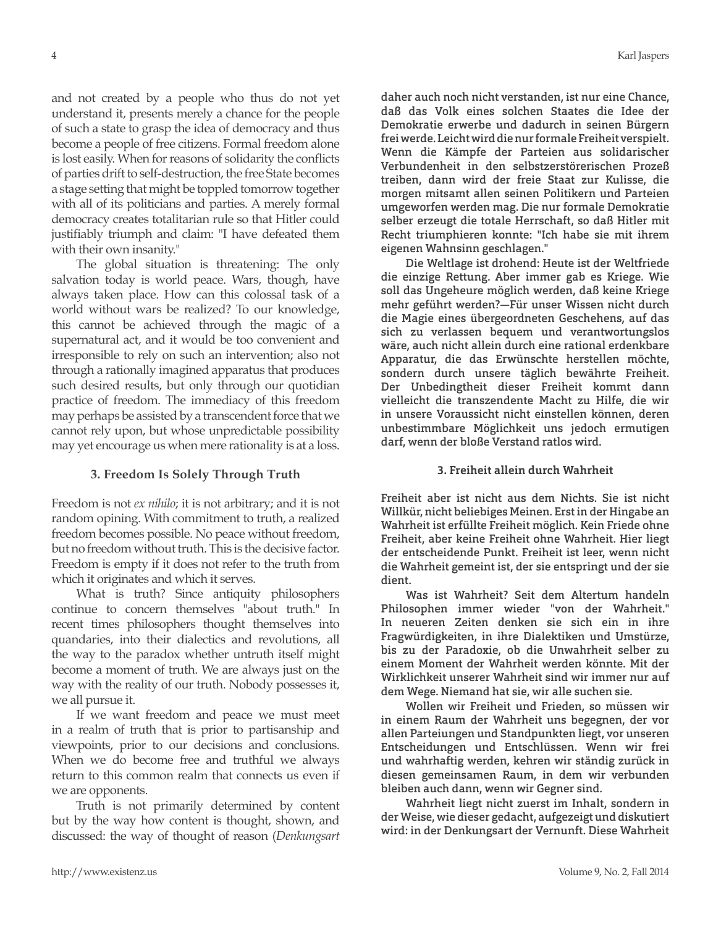and not created by a people who thus do not yet understand it, presents merely a chance for the people of such a state to grasp the idea of democracy and thus become a people of free citizens. Formal freedom alone is lost easily. When for reasons of solidarity the conflicts of parties drift to self-destruction, the free State becomes a stage setting that might be toppled tomorrow together with all of its politicians and parties. A merely formal democracy creates totalitarian rule so that Hitler could justifiably triumph and claim: "I have defeated them with their own insanity."

The global situation is threatening: The only salvation today is world peace. Wars, though, have always taken place. How can this colossal task of a world without wars be realized? To our knowledge, this cannot be achieved through the magic of a supernatural act, and it would be too convenient and irresponsible to rely on such an intervention; also not through a rationally imagined apparatus that produces such desired results, but only through our quotidian practice of freedom. The immediacy of this freedom may perhaps be assisted by a transcendent force that we cannot rely upon, but whose unpredictable possibility may yet encourage us when mere rationality is at a loss.

## **3. Freedom Is Solely Through Truth**

Freedom is not *ex nihilo*; it is not arbitrary; and it is not random opining. With commitment to truth, a realized freedom becomes possible. No peace without freedom, but no freedom without truth. This is the decisive factor. Freedom is empty if it does not refer to the truth from which it originates and which it serves.

What is truth? Since antiquity philosophers continue to concern themselves "about truth." In recent times philosophers thought themselves into quandaries, into their dialectics and revolutions, all the way to the paradox whether untruth itself might become a moment of truth. We are always just on the way with the reality of our truth. Nobody possesses it, we all pursue it.

If we want freedom and peace we must meet in a realm of truth that is prior to partisanship and viewpoints, prior to our decisions and conclusions. When we do become free and truthful we always return to this common realm that connects us even if we are opponents.

Truth is not primarily determined by content but by the way how content is thought, shown, and discussed: the way of thought of reason (*Denkungsart* 

daher auch noch nicht verstanden, ist nur eine Chance, daß das Volk eines solchen Staates die Idee der Demokratie erwerbe und dadurch in seinen Bürgern frei werde. Leicht wird die nur formale Freiheit verspielt. Wenn die Kämpfe der Parteien aus solidarischer Verbundenheit in den selbstzerstörerischen Prozeß treiben, dann wird der freie Staat zur Kulisse, die morgen mitsamt allen seinen Politikern und Parteien umgeworfen werden mag. Die nur formale Demokratie selber erzeugt die totale Herrschaft, so daß Hitler mit Recht triumphieren konnte: "Ich habe sie mit ihrem eigenen Wahnsinn geschlagen."

Die Weltlage ist drohend: Heute ist der Weltfriede die einzige Rettung. Aber immer gab es Kriege. Wie soll das Ungeheure möglich werden, daß keine Kriege mehr geführt werden?—Für unser Wissen nicht durch die Magie eines übergeordneten Geschehens, auf das sich zu verlassen bequem und verantwortungslos wäre, auch nicht allein durch eine rational erdenkbare Apparatur, die das Erwünschte herstellen möchte, sondern durch unsere täglich bewährte Freiheit. Der Unbedingtheit dieser Freiheit kommt dann vielleicht die transzendente Macht zu Hilfe, die wir in unsere Voraussicht nicht einstellen können, deren unbestimmbare Möglichkeit uns jedoch ermutigen darf, wenn der bloße Verstand ratlos wird.

## **3. Freiheit allein durch Wahrheit**

Freiheit aber ist nicht aus dem Nichts. Sie ist nicht Willkür, nicht beliebiges Meinen. Erst in der Hingabe an Wahrheit ist erfüllte Freiheit möglich. Kein Friede ohne Freiheit, aber keine Freiheit ohne Wahrheit. Hier liegt der entscheidende Punkt. Freiheit ist leer, wenn nicht die Wahrheit gemeint ist, der sie entspringt und der sie dient.

Was ist Wahrheit? Seit dem Altertum handeln Philosophen immer wieder "von der Wahrheit." In neueren Zeiten denken sie sich ein in ihre Fragwürdigkeiten, in ihre Dialektiken und Umstürze, bis zu der Paradoxie, ob die Unwahrheit selber zu einem Moment der Wahrheit werden könnte. Mit der Wirklichkeit unserer Wahrheit sind wir immer nur auf dem Wege. Niemand hat sie, wir alle suchen sie.

Wollen wir Freiheit und Frieden, so müssen wir in einem Raum der Wahrheit uns begegnen, der vor allen Parteiungen und Standpunkten liegt, vor unseren Entscheidungen und Entschlüssen. Wenn wir frei und wahrhaftig werden, kehren wir ständig zurück in diesen gemeinsamen Raum, in dem wir verbunden bleiben auch dann, wenn wir Gegner sind.

Wahrheit liegt nicht zuerst im Inhalt, sondern in der Weise, wie dieser gedacht, aufgezeigt und diskutiert wird: in der Denkungsart der Vernunft. Diese Wahrheit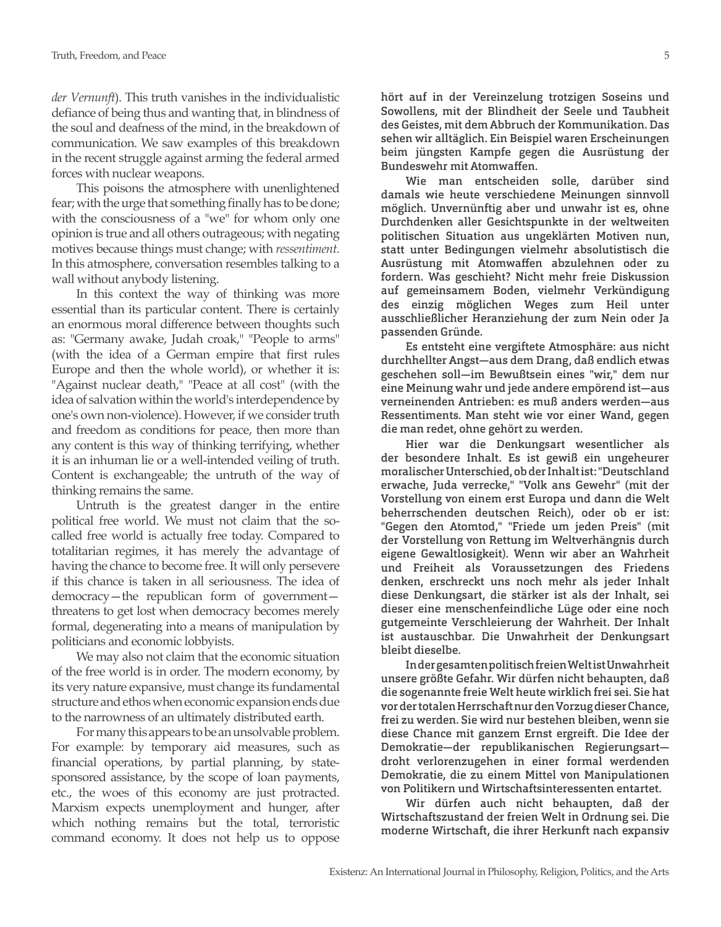*der Vernunft*). This truth vanishes in the individualistic defiance of being thus and wanting that, in blindness of the soul and deafness of the mind, in the breakdown of communication. We saw examples of this breakdown in the recent struggle against arming the federal armed forces with nuclear weapons.

This poisons the atmosphere with unenlightened fear; with the urge that something finally has to be done; with the consciousness of a "we" for whom only one opinion is true and all others outrageous; with negating motives because things must change; with *ressentiment*. In this atmosphere, conversation resembles talking to a wall without anybody listening.

In this context the way of thinking was more essential than its particular content. There is certainly an enormous moral difference between thoughts such as: "Germany awake, Judah croak," "People to arms" (with the idea of a German empire that first rules Europe and then the whole world), or whether it is: "Against nuclear death," "Peace at all cost" (with the idea of salvation within the world's interdependence by one's own non-violence). However, if we consider truth and freedom as conditions for peace, then more than any content is this way of thinking terrifying, whether it is an inhuman lie or a well-intended veiling of truth. Content is exchangeable; the untruth of the way of thinking remains the same.

Untruth is the greatest danger in the entire political free world. We must not claim that the socalled free world is actually free today. Compared to totalitarian regimes, it has merely the advantage of having the chance to become free. It will only persevere if this chance is taken in all seriousness. The idea of democracy—the republican form of government threatens to get lost when democracy becomes merely formal, degenerating into a means of manipulation by politicians and economic lobbyists.

We may also not claim that the economic situation of the free world is in order. The modern economy, by its very nature expansive, must change its fundamental structure and ethos when economic expansion ends due to the narrowness of an ultimately distributed earth.

For many this appears to be an unsolvable problem. For example: by temporary aid measures, such as financial operations, by partial planning, by statesponsored assistance, by the scope of loan payments, etc., the woes of this economy are just protracted. Marxism expects unemployment and hunger, after which nothing remains but the total, terroristic command economy. It does not help us to oppose

hört auf in der Vereinzelung trotzigen Soseins und Sowollens, mit der Blindheit der Seele und Taubheit des Geistes, mit dem Abbruch der Kommunikation. Das sehen wir alltäglich. Ein Beispiel waren Erscheinungen beim jüngsten Kampfe gegen die Ausrüstung der Bundeswehr mit Atomwaffen.

Wie man entscheiden solle, darüber sind damals wie heute verschiedene Meinungen sinnvoll möglich. Unvernünftig aber und unwahr ist es, ohne Durchdenken aller Gesichtspunkte in der weltweiten politischen Situation aus ungeklärten Motiven nun, statt unter Bedingungen vielmehr absolutistisch die Ausrüstung mit Atomwaffen abzulehnen oder zu fordern. Was geschieht? Nicht mehr freie Diskussion auf gemeinsamem Boden, vielmehr Verkündigung des einzig möglichen Weges zum Heil unter ausschließlicher Heranziehung der zum Nein oder Ja passenden Gründe.

Es entsteht eine vergiftete Atmosphäre: aus nicht durchhellter Angst—aus dem Drang, daß endlich etwas geschehen soll—im Bewußtsein eines "wir," dem nur eine Meinung wahr und jede andere empörend ist—aus verneinenden Antrieben: es muß anders werden—aus Ressentiments. Man steht wie vor einer Wand, gegen die man redet, ohne gehört zu werden.

Hier war die Denkungsart wesentlicher als der besondere Inhalt. Es ist gewiß ein ungeheurer moralischer Unterschied, ob der Inhalt ist: "Deutschland erwache, Juda verrecke," "Volk ans Gewehr" (mit der Vorstellung von einem erst Europa und dann die Welt beherrschenden deutschen Reich), oder ob er ist: "Gegen den Atomtod," "Friede um jeden Preis" (mit der Vorstellung von Rettung im Weltverhängnis durch eigene Gewaltlosigkeit). Wenn wir aber an Wahrheit und Freiheit als Voraussetzungen des Friedens denken, erschreckt uns noch mehr als jeder Inhalt diese Denkungsart, die stärker ist als der Inhalt, sei dieser eine menschenfeindliche Lüge oder eine noch gutgemeinte Verschleierung der Wahrheit. Der Inhalt ist austauschbar. Die Unwahrheit der Denkungsart bleibt dieselbe.

In der gesamten politisch freien Welt ist Unwahrheit unsere größte Gefahr. Wir dürfen nicht behaupten, daß die sogenannte freie Welt heute wirklich frei sei. Sie hat vor der totalen Herrschaft nur den Vorzug dieser Chance, frei zu werden. Sie wird nur bestehen bleiben, wenn sie diese Chance mit ganzem Ernst ergreift. Die Idee der Demokratie—der republikanischen Regierungsart droht verlorenzugehen in einer formal werdenden Demokratie, die zu einem Mittel von Manipulationen von Politikern und Wirtschaftsinteressenten entartet.

Wir dürfen auch nicht behaupten, daß der Wirtschaftszustand der freien Welt in Ordnung sei. Die moderne Wirtschaft, die ihrer Herkunft nach expansiv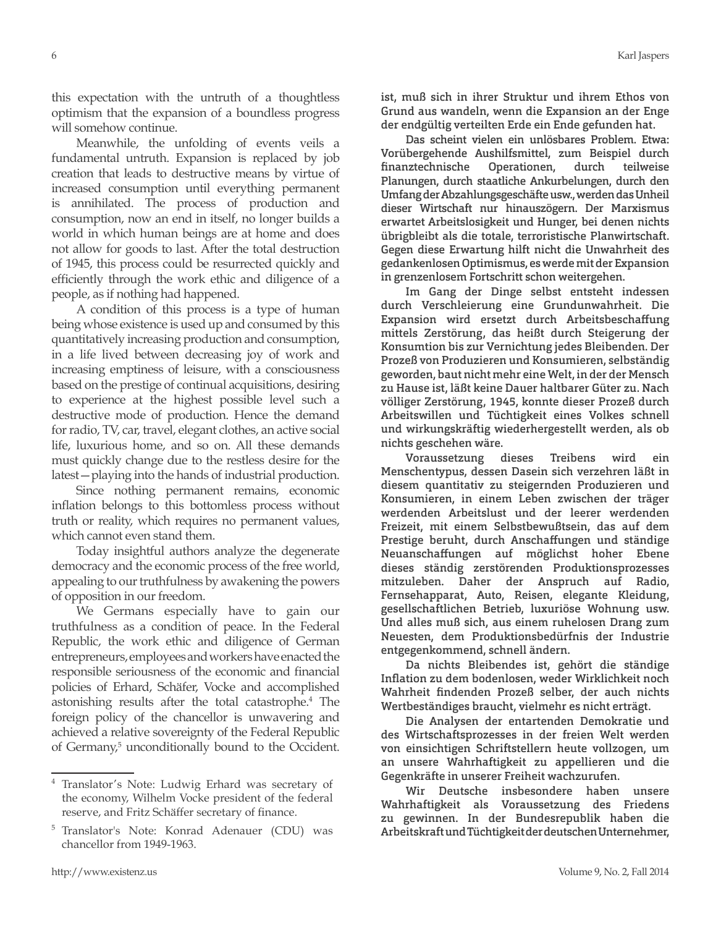this expectation with the untruth of a thoughtless optimism that the expansion of a boundless progress will somehow continue.

Meanwhile, the unfolding of events veils a fundamental untruth. Expansion is replaced by job creation that leads to destructive means by virtue of increased consumption until everything permanent is annihilated. The process of production and consumption, now an end in itself, no longer builds a world in which human beings are at home and does not allow for goods to last. After the total destruction of 1945, this process could be resurrected quickly and efficiently through the work ethic and diligence of a people, as if nothing had happened.

A condition of this process is a type of human being whose existence is used up and consumed by this quantitatively increasing production and consumption, in a life lived between decreasing joy of work and increasing emptiness of leisure, with a consciousness based on the prestige of continual acquisitions, desiring to experience at the highest possible level such a destructive mode of production. Hence the demand for radio, TV, car, travel, elegant clothes, an active social life, luxurious home, and so on. All these demands must quickly change due to the restless desire for the latest—playing into the hands of industrial production.

Since nothing permanent remains, economic inflation belongs to this bottomless process without truth or reality, which requires no permanent values, which cannot even stand them.

Today insightful authors analyze the degenerate democracy and the economic process of the free world, appealing to our truthfulness by awakening the powers of opposition in our freedom.

We Germans especially have to gain our truthfulness as a condition of peace. In the Federal Republic, the work ethic and diligence of German entrepreneurs, employees and workers have enacted the responsible seriousness of the economic and financial policies of Erhard, Schäfer, Vocke and accomplished astonishing results after the total catastrophe.4 The foreign policy of the chancellor is unwavering and achieved a relative sovereignty of the Federal Republic of Germany,<sup>5</sup> unconditionally bound to the Occident. ist, muß sich in ihrer Struktur und ihrem Ethos von Grund aus wandeln, wenn die Expansion an der Enge der endgültig verteilten Erde ein Ende gefunden hat.

Das scheint vielen ein unlösbares Problem. Etwa: Vorübergehende Aushilfsmittel, zum Beispiel durch finanztechnische Operationen, durch teilweise Planungen, durch staatliche Ankurbelungen, durch den Umfang der Abzahlungsgeschäfte usw., werden das Unheil dieser Wirtschaft nur hinauszögern. Der Marxismus erwartet Arbeitslosigkeit und Hunger, bei denen nichts übrigbleibt als die totale, terroristische Planwirtschaft. Gegen diese Erwartung hilft nicht die Unwahrheit des gedankenlosen Optimismus, es werde mit der Expansion in grenzenlosem Fortschritt schon weitergehen.

Im Gang der Dinge selbst entsteht indessen durch Verschleierung eine Grundunwahrheit. Die Expansion wird ersetzt durch Arbeitsbeschaffung mittels Zerstörung, das heißt durch Steigerung der Konsumtion bis zur Vernichtung jedes Bleibenden. Der Prozeß von Produzieren und Konsumieren, selbständig geworden, baut nicht mehr eine Welt, in der der Mensch zu Hause ist, läßt keine Dauer haltbarer Güter zu. Nach völliger Zerstörung, 1945, konnte dieser Prozeß durch Arbeitswillen und Tüchtigkeit eines Volkes schnell und wirkungskräftig wiederhergestellt werden, als ob nichts geschehen wäre.

Voraussetzung dieses Treibens wird ein Menschentypus, dessen Dasein sich verzehren läßt in diesem quantitativ zu steigernden Produzieren und Konsumieren, in einem Leben zwischen der träger werdenden Arbeitslust und der leerer werdenden Freizeit, mit einem Selbstbewußtsein, das auf dem Prestige beruht, durch Anschaffungen und ständige Neuanschaffungen auf möglichst hoher Ebene dieses ständig zerstörenden Produktionsprozesses mitzuleben. Daher der Anspruch auf Radio, Fernsehapparat, Auto, Reisen, elegante Kleidung, gesellschaftlichen Betrieb, luxuriöse Wohnung usw. Und alles muß sich, aus einem ruhelosen Drang zum Neuesten, dem Produktionsbedürfnis der Industrie entgegenkommend, schnell ändern.

Da nichts Bleibendes ist, gehört die ständige Inflation zu dem bodenlosen, weder Wirklichkeit noch Wahrheit findenden Prozeß selber, der auch nichts Wertbeständiges braucht, vielmehr es nicht erträgt.

Die Analysen der entartenden Demokratie und des Wirtschaftsprozesses in der freien Welt werden von einsichtigen Schriftstellern heute vollzogen, um an unsere Wahrhaftigkeit zu appellieren und die Gegenkräfte in unserer Freiheit wachzurufen.

Wir Deutsche insbesondere haben unsere Wahrhaftigkeit als Voraussetzung des Friedens zu gewinnen. In der Bundesrepublik haben die Arbeitskraft und Tüchtigkeit der deutschen Unternehmer,

<sup>4</sup> Translator's Note: Ludwig Erhard was secretary of the economy, Wilhelm Vocke president of the federal reserve, and Fritz Schäffer secretary of finance.

<sup>5</sup> Translator's Note: Konrad Adenauer (CDU) was chancellor from 1949-1963.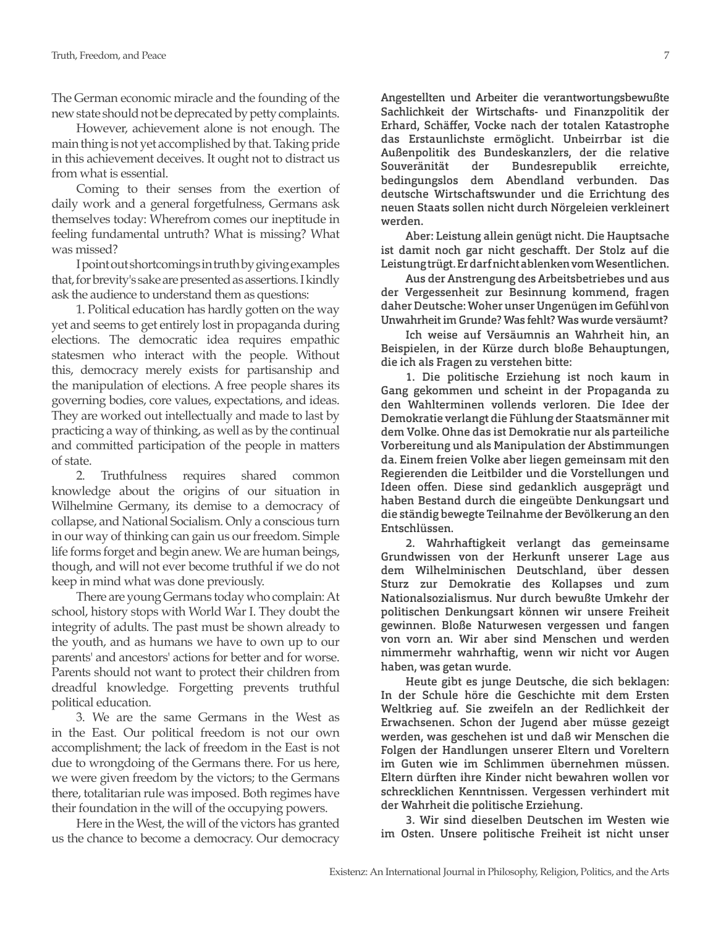The German economic miracle and the founding of the new state should not be deprecated by petty complaints.

However, achievement alone is not enough. The main thing is not yet accomplished by that. Taking pride in this achievement deceives. It ought not to distract us from what is essential.

Coming to their senses from the exertion of daily work and a general forgetfulness, Germans ask themselves today: Wherefrom comes our ineptitude in feeling fundamental untruth? What is missing? What was missed?

I point out shortcomings in truth by giving examples that, for brevity's sake are presented as assertions. I kindly ask the audience to understand them as questions:

1. Political education has hardly gotten on the way yet and seems to get entirely lost in propaganda during elections. The democratic idea requires empathic statesmen who interact with the people. Without this, democracy merely exists for partisanship and the manipulation of elections. A free people shares its governing bodies, core values, expectations, and ideas. They are worked out intellectually and made to last by practicing a way of thinking, as well as by the continual and committed participation of the people in matters of state.

2. Truthfulness requires shared common knowledge about the origins of our situation in Wilhelmine Germany, its demise to a democracy of collapse, and National Socialism. Only a conscious turn in our way of thinking can gain us our freedom. Simple life forms forget and begin anew. We are human beings, though, and will not ever become truthful if we do not keep in mind what was done previously.

There are young Germans today who complain: At school, history stops with World War I. They doubt the integrity of adults. The past must be shown already to the youth, and as humans we have to own up to our parents' and ancestors' actions for better and for worse. Parents should not want to protect their children from dreadful knowledge. Forgetting prevents truthful political education.

3. We are the same Germans in the West as in the East. Our political freedom is not our own accomplishment; the lack of freedom in the East is not due to wrongdoing of the Germans there. For us here, we were given freedom by the victors; to the Germans there, totalitarian rule was imposed. Both regimes have their foundation in the will of the occupying powers.

Here in the West, the will of the victors has granted us the chance to become a democracy. Our democracy

Angestellten und Arbeiter die verantwortungsbewußte Sachlichkeit der Wirtschafts- und Finanzpolitik der Erhard, Schäffer, Vocke nach der totalen Katastrophe das Erstaunlichste ermöglicht. Unbeirrbar ist die Außenpolitik des Bundeskanzlers, der die relative Souveränität der Bundesrepublik erreichte, bedingungslos dem Abendland verbunden. Das deutsche Wirtschaftswunder und die Errichtung des neuen Staats sollen nicht durch Nörgeleien verkleinert werden.

Aber: Leistung allein genügt nicht. Die Hauptsache ist damit noch gar nicht geschafft. Der Stolz auf die Leistung trügt. Er darf nicht ablenken vom Wesentlichen.

Aus der Anstrengung des Arbeitsbetriebes und aus der Vergessenheit zur Besinnung kommend, fragen daher Deutsche: Woher unser Ungenügen im Gefühl von Unwahrheit im Grunde? Was fehlt? Was wurde versäumt?

Ich weise auf Versäumnis an Wahrheit hin, an Beispielen, in der Kürze durch bloße Behauptungen, die ich als Fragen zu verstehen bitte:

1. Die politische Erziehung ist noch kaum in Gang gekommen und scheint in der Propaganda zu den Wahlterminen vollends verloren. Die Idee der Demokratie verlangt die Fühlung der Staatsmänner mit dem Volke. Ohne das ist Demokratie nur als parteiliche Vorbereitung und als Manipulation der Abstimmungen da. Einem freien Volke aber liegen gemeinsam mit den Regierenden die Leitbilder und die Vorstellungen und Ideen offen. Diese sind gedanklich ausgeprägt und haben Bestand durch die eingeübte Denkungsart und die ständig bewegte Teilnahme der Bevölkerung an den Entschlüssen.

2. Wahrhaftigkeit verlangt das gemeinsame Grundwissen von der Herkunft unserer Lage aus dem Wilhelminischen Deutschland, über dessen Sturz zur Demokratie des Kollapses und zum Nationalsozialismus. Nur durch bewußte Umkehr der politischen Denkungsart können wir unsere Freiheit gewinnen. Bloße Naturwesen vergessen und fangen von vorn an. Wir aber sind Menschen und werden nimmermehr wahrhaftig, wenn wir nicht vor Augen haben, was getan wurde.

Heute gibt es junge Deutsche, die sich beklagen: In der Schule höre die Geschichte mit dem Ersten Weltkrieg auf. Sie zweifeln an der Redlichkeit der Erwachsenen. Schon der Jugend aber müsse gezeigt werden, was geschehen ist und daß wir Menschen die Folgen der Handlungen unserer Eltern und Voreltern im Guten wie im Schlimmen übernehmen müssen. Eltern dürften ihre Kinder nicht bewahren wollen vor schrecklichen Kenntnissen. Vergessen verhindert mit der Wahrheit die politische Erziehung.

3. Wir sind dieselben Deutschen im Westen wie im Osten. Unsere politische Freiheit ist nicht unser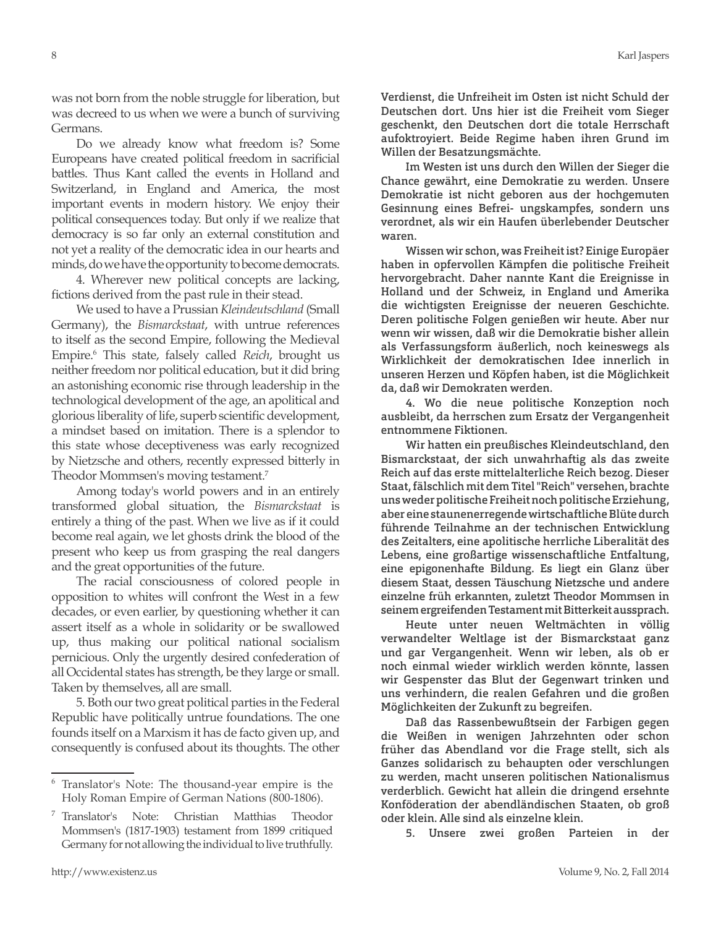was not born from the noble struggle for liberation, but was decreed to us when we were a bunch of surviving Germans.

Do we already know what freedom is? Some Europeans have created political freedom in sacrificial battles. Thus Kant called the events in Holland and Switzerland, in England and America, the most important events in modern history. We enjoy their political consequences today. But only if we realize that democracy is so far only an external constitution and not yet a reality of the democratic idea in our hearts and minds, do we have the opportunity to become democrats.

4. Wherever new political concepts are lacking, fictions derived from the past rule in their stead.

We used to have a Prussian *Kleindeutschland* (Small Germany), the *Bismarckstaat*, with untrue references to itself as the second Empire, following the Medieval Empire.6 This state, falsely called *Reich*, brought us neither freedom nor political education, but it did bring an astonishing economic rise through leadership in the technological development of the age, an apolitical and glorious liberality of life, superb scientific development, a mindset based on imitation. There is a splendor to this state whose deceptiveness was early recognized by Nietzsche and others, recently expressed bitterly in Theodor Mommsen's moving testament.7

Among today's world powers and in an entirely transformed global situation, the *Bismarckstaat* is entirely a thing of the past. When we live as if it could become real again, we let ghosts drink the blood of the present who keep us from grasping the real dangers and the great opportunities of the future.

The racial consciousness of colored people in opposition to whites will confront the West in a few decades, or even earlier, by questioning whether it can assert itself as a whole in solidarity or be swallowed up, thus making our political national socialism pernicious. Only the urgently desired confederation of all Occidental states has strength, be they large or small. Taken by themselves, all are small.

5. Both our two great political parties in the Federal Republic have politically untrue foundations. The one founds itself on a Marxism it has de facto given up, and consequently is confused about its thoughts. The other

Verdienst, die Unfreiheit im Osten ist nicht Schuld der Deutschen dort. Uns hier ist die Freiheit vom Sieger geschenkt, den Deutschen dort die totale Herrschaft aufoktroyiert. Beide Regime haben ihren Grund im Willen der Besatzungsmächte.

Im Westen ist uns durch den Willen der Sieger die Chance gewährt, eine Demokratie zu werden. Unsere Demokratie ist nicht geboren aus der hochgemuten Gesinnung eines Befrei- ungskampfes, sondern uns verordnet, als wir ein Haufen überlebender Deutscher waren.

Wissen wir schon, was Freiheit ist? Einige Europäer haben in opfervollen Kämpfen die politische Freiheit hervorgebracht. Daher nannte Kant die Ereignisse in Holland und der Schweiz, in England und Amerika die wichtigsten Ereignisse der neueren Geschichte. Deren politische Folgen genießen wir heute. Aber nur wenn wir wissen, daß wir die Demokratie bisher allein als Verfassungsform äußerlich, noch keineswegs als Wirklichkeit der demokratischen Idee innerlich in unseren Herzen und Köpfen haben, ist die Möglichkeit da, daß wir Demokraten werden.

4. Wo die neue politische Konzeption noch ausbleibt, da herrschen zum Ersatz der Vergangenheit entnommene Fiktionen.

Wir hatten ein preußisches Kleindeutschland, den Bismarckstaat, der sich unwahrhaftig als das zweite Reich auf das erste mittelalterliche Reich bezog. Dieser Staat, fälschlich mit dem Titel "Reich" versehen, brachte uns weder politische Freiheit noch politische Erziehung, aber eine staunenerregende wirtschaftliche Blüte durch führende Teilnahme an der technischen Entwicklung des Zeitalters, eine apolitische herrliche Liberalität des Lebens, eine großartige wissenschaftliche Entfaltung, eine epigonenhafte Bildung. Es liegt ein Glanz über diesem Staat, dessen Täuschung Nietzsche und andere einzelne früh erkannten, zuletzt Theodor Mommsen in seinem ergreifenden Testament mit Bitterkeit aussprach.

Heute unter neuen Weltmächten in völlig verwandelter Weltlage ist der Bismarckstaat ganz und gar Vergangenheit. Wenn wir leben, als ob er noch einmal wieder wirklich werden könnte, lassen wir Gespenster das Blut der Gegenwart trinken und uns verhindern, die realen Gefahren und die großen Möglichkeiten der Zukunft zu begreifen.

Daß das Rassenbewußtsein der Farbigen gegen die Weißen in wenigen Jahrzehnten oder schon früher das Abendland vor die Frage stellt, sich als Ganzes solidarisch zu behaupten oder verschlungen zu werden, macht unseren politischen Nationalismus verderblich. Gewicht hat allein die dringend ersehnte Konföderation der abendländischen Staaten, ob groß oder klein. Alle sind als einzelne klein.

5. Unsere zwei großen Parteien in der

<sup>6</sup> Translator's Note: The thousand-year empire is the Holy Roman Empire of German Nations (800-1806).

<sup>7</sup> Translator's Note: Christian Matthias Theodor Mommsen's (1817-1903) testament from 1899 critiqued Germany for not allowing the individual to live truthfully.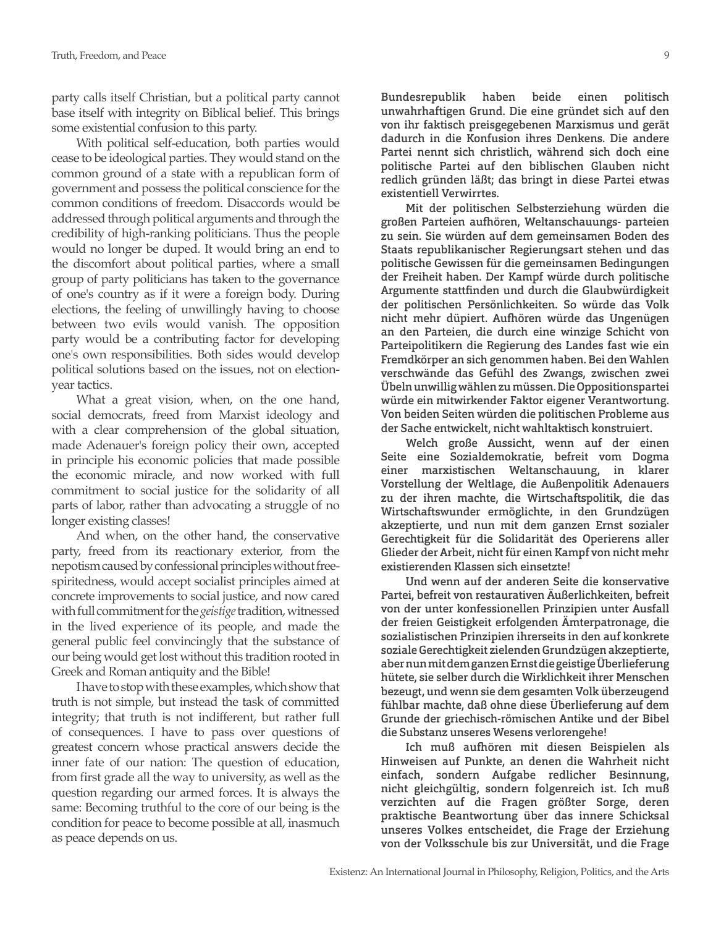party calls itself Christian, but a political party cannot base itself with integrity on Biblical belief. This brings some existential confusion to this party.

With political self-education, both parties would cease to be ideological parties. They would stand on the common ground of a state with a republican form of government and possess the political conscience for the common conditions of freedom. Disaccords would be addressed through political arguments and through the credibility of high-ranking politicians. Thus the people would no longer be duped. It would bring an end to the discomfort about political parties, where a small group of party politicians has taken to the governance of one's country as if it were a foreign body. During elections, the feeling of unwillingly having to choose between two evils would vanish. The opposition party would be a contributing factor for developing one's own responsibilities. Both sides would develop political solutions based on the issues, not on electionyear tactics.

What a great vision, when, on the one hand, social democrats, freed from Marxist ideology and with a clear comprehension of the global situation, made Adenauer's foreign policy their own, accepted in principle his economic policies that made possible the economic miracle, and now worked with full commitment to social justice for the solidarity of all parts of labor, rather than advocating a struggle of no longer existing classes!

And when, on the other hand, the conservative party, freed from its reactionary exterior, from the nepotism caused by confessional principles without freespiritedness, would accept socialist principles aimed at concrete improvements to social justice, and now cared with full commitment for the *geistige* tradition, witnessed in the lived experience of its people, and made the general public feel convincingly that the substance of our being would get lost without this tradition rooted in Greek and Roman antiquity and the Bible!

I have to stop with these examples, which show that truth is not simple, but instead the task of committed integrity; that truth is not indifferent, but rather full of consequences. I have to pass over questions of greatest concern whose practical answers decide the inner fate of our nation: The question of education, from first grade all the way to university, as well as the question regarding our armed forces. It is always the same: Becoming truthful to the core of our being is the condition for peace to become possible at all, inasmuch as peace depends on us.

Bundesrepublik haben beide einen politisch unwahrhaftigen Grund. Die eine gründet sich auf den von ihr faktisch preisgegebenen Marxismus und gerät dadurch in die Konfusion ihres Denkens. Die andere Partei nennt sich christlich, während sich doch eine politische Partei auf den biblischen Glauben nicht redlich gründen läßt; das bringt in diese Partei etwas existentiell Verwirrtes.

Mit der politischen Selbsterziehung würden die großen Parteien aufhören, Weltanschauungs- parteien zu sein. Sie würden auf dem gemeinsamen Boden des Staats republikanischer Regierungsart stehen und das politische Gewissen für die gemeinsamen Bedingungen der Freiheit haben. Der Kampf würde durch politische Argumente stattfinden und durch die Glaubwürdigkeit der politischen Persönlichkeiten. So würde das Volk nicht mehr düpiert. Aufhören würde das Ungenügen an den Parteien, die durch eine winzige Schicht von Parteipolitikern die Regierung des Landes fast wie ein Fremdkörper an sich genommen haben. Bei den Wahlen verschwände das Gefühl des Zwangs, zwischen zwei Übeln unwillig wählen zu müssen. Die Oppositionspartei würde ein mitwirkender Faktor eigener Verantwortung. Von beiden Seiten würden die politischen Probleme aus der Sache entwickelt, nicht wahltaktisch konstruiert.

Welch große Aussicht, wenn auf der einen Seite eine Sozialdemokratie, befreit vom Dogma einer marxistischen Weltanschauung, in klarer Vorstellung der Weltlage, die Außenpolitik Adenauers zu der ihren machte, die Wirtschaftspolitik, die das Wirtschaftswunder ermöglichte, in den Grundzügen akzeptierte, und nun mit dem ganzen Ernst sozialer Gerechtigkeit für die Solidarität des Operierens aller Glieder der Arbeit, nicht für einen Kampf von nicht mehr existierenden Klassen sich einsetzte!

Und wenn auf der anderen Seite die konservative Partei, befreit von restaurativen Äußerlichkeiten, befreit von der unter konfessionellen Prinzipien unter Ausfall der freien Geistigkeit erfolgenden Ämterpatronage, die sozialistischen Prinzipien ihrerseits in den auf konkrete soziale Gerechtigkeit zielenden Grundzügen akzeptierte, aber nun mit dem ganzen Ernst die geistige Überlieferung hütete, sie selber durch die Wirklichkeit ihrer Menschen bezeugt, und wenn sie dem gesamten Volk überzeugend fühlbar machte, daß ohne diese Überlieferung auf dem Grunde der griechisch-römischen Antike und der Bibel die Substanz unseres Wesens verlorengehe!

Ich muß aufhören mit diesen Beispielen als Hinweisen auf Punkte, an denen die Wahrheit nicht einfach, sondern Aufgabe redlicher Besinnung, nicht gleichgültig, sondern folgenreich ist. Ich muß verzichten auf die Fragen größter Sorge, deren praktische Beantwortung über das innere Schicksal unseres Volkes entscheidet, die Frage der Erziehung von der Volksschule bis zur Universität, und die Frage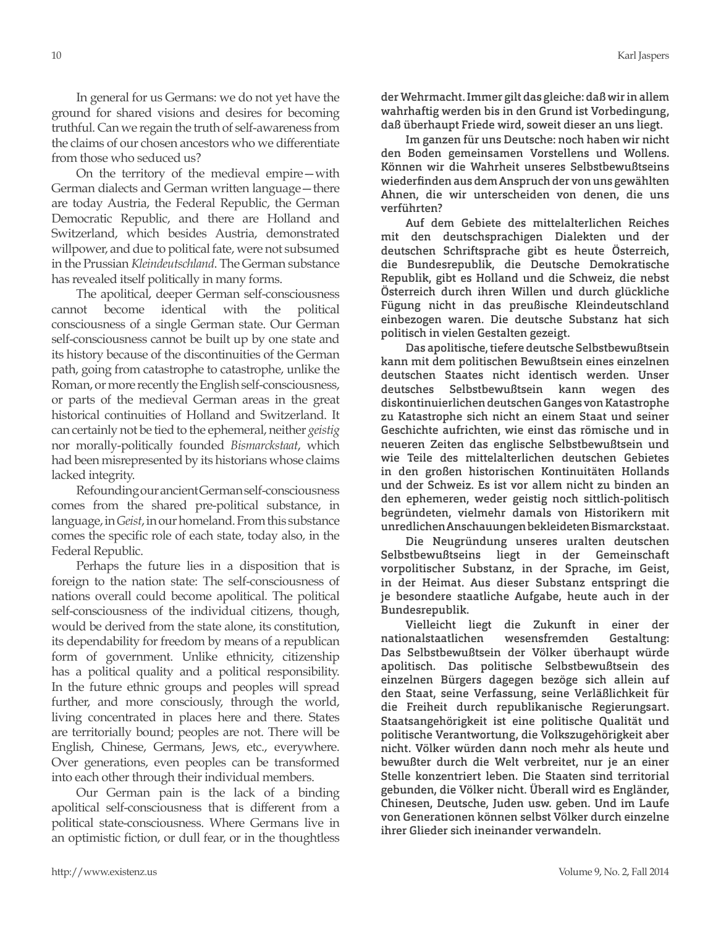In general for us Germans: we do not yet have the ground for shared visions and desires for becoming truthful. Can we regain the truth of self-awareness from the claims of our chosen ancestors who we differentiate from those who seduced us?

On the territory of the medieval empire—with German dialects and German written language—there are today Austria, the Federal Republic, the German Democratic Republic, and there are Holland and Switzerland, which besides Austria, demonstrated willpower, and due to political fate, were not subsumed in the Prussian *Kleindeutschland*. The German substance has revealed itself politically in many forms.

The apolitical, deeper German self-consciousness cannot become identical with the political consciousness of a single German state. Our German self-consciousness cannot be built up by one state and its history because of the discontinuities of the German path, going from catastrophe to catastrophe, unlike the Roman, or more recently the English self-consciousness, or parts of the medieval German areas in the great historical continuities of Holland and Switzerland. It can certainly not be tied to the ephemeral, neither *geistig* nor morally-politically founded *Bismarckstaat*, which had been misrepresented by its historians whose claims lacked integrity.

Refounding our ancient German self-consciousness comes from the shared pre-political substance, in language, in *Geist*, in our homeland. From this substance comes the specific role of each state, today also, in the Federal Republic.

Perhaps the future lies in a disposition that is foreign to the nation state: The self-consciousness of nations overall could become apolitical. The political self-consciousness of the individual citizens, though, would be derived from the state alone, its constitution, its dependability for freedom by means of a republican form of government. Unlike ethnicity, citizenship has a political quality and a political responsibility. In the future ethnic groups and peoples will spread further, and more consciously, through the world, living concentrated in places here and there. States are territorially bound; peoples are not. There will be English, Chinese, Germans, Jews, etc., everywhere. Over generations, even peoples can be transformed into each other through their individual members.

Our German pain is the lack of a binding apolitical self-consciousness that is different from a political state-consciousness. Where Germans live in an optimistic fiction, or dull fear, or in the thoughtless

der Wehrmacht. Immer gilt das gleiche: daß wir in allem wahrhaftig werden bis in den Grund ist Vorbedingung, daß überhaupt Friede wird, soweit dieser an uns liegt.

Im ganzen für uns Deutsche: noch haben wir nicht den Boden gemeinsamen Vorstellens und Wollens. Können wir die Wahrheit unseres Selbstbewußtseins wiederfinden aus dem Anspruch der von uns gewählten Ahnen, die wir unterscheiden von denen, die uns verführten?

Auf dem Gebiete des mittelalterlichen Reiches mit den deutschsprachigen Dialekten und der deutschen Schriftsprache gibt es heute Österreich, die Bundesrepublik, die Deutsche Demokratische Republik, gibt es Holland und die Schweiz, die nebst Österreich durch ihren Willen und durch glückliche Fügung nicht in das preußische Kleindeutschland einbezogen waren. Die deutsche Substanz hat sich politisch in vielen Gestalten gezeigt.

Das apolitische, tiefere deutsche Selbstbewußtsein kann mit dem politischen Bewußtsein eines einzelnen deutschen Staates nicht identisch werden. Unser deutsches Selbstbewußtsein kann wegen des diskontinuierlichen deutschen Ganges von Katastrophe zu Katastrophe sich nicht an einem Staat und seiner Geschichte aufrichten, wie einst das römische und in neueren Zeiten das englische Selbstbewußtsein und wie Teile des mittelalterlichen deutschen Gebietes in den großen historischen Kontinuitäten Hollands und der Schweiz. Es ist vor allem nicht zu binden an den ephemeren, weder geistig noch sittlich-politisch begründeten, vielmehr damals von Historikern mit unredlichen Anschauungen bekleideten Bismarckstaat.

Die Neugründung unseres uralten deutschen Selbstbewußtseins liegt in der Gemeinschaft vorpolitischer Substanz, in der Sprache, im Geist, in der Heimat. Aus dieser Substanz entspringt die je besondere staatliche Aufgabe, heute auch in der Bundesrepublik.

Vielleicht liegt die Zukunft in einer der nationalstaatlichen wesensfremden Gestaltung: Das Selbstbewußtsein der Völker überhaupt würde apolitisch. Das politische Selbstbewußtsein des einzelnen Bürgers dagegen bezöge sich allein auf den Staat, seine Verfassung, seine Verläßlichkeit für die Freiheit durch republikanische Regierungsart. Staatsangehörigkeit ist eine politische Qualität und politische Verantwortung, die Volkszugehörigkeit aber nicht. Völker würden dann noch mehr als heute und bewußter durch die Welt verbreitet, nur je an einer Stelle konzentriert leben. Die Staaten sind territorial gebunden, die Völker nicht. Überall wird es Engländer, Chinesen, Deutsche, Juden usw. geben. Und im Laufe von Generationen können selbst Völker durch einzelne ihrer Glieder sich ineinander verwandeln.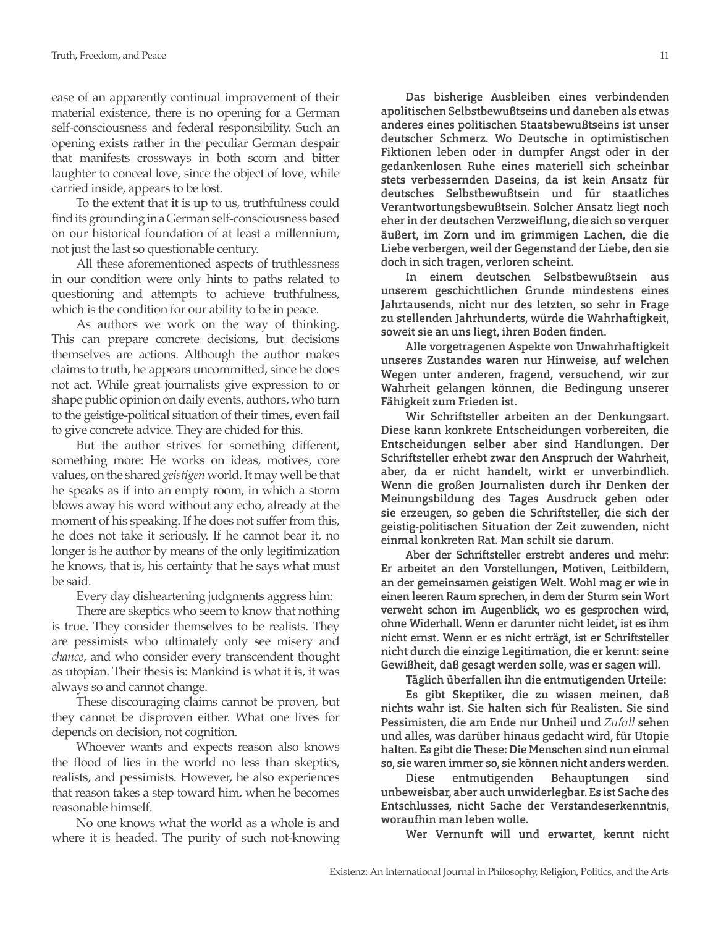ease of an apparently continual improvement of their material existence, there is no opening for a German self-consciousness and federal responsibility. Such an opening exists rather in the peculiar German despair that manifests crossways in both scorn and bitter laughter to conceal love, since the object of love, while carried inside, appears to be lost.

To the extent that it is up to us, truthfulness could find its grounding in a German self-consciousness based on our historical foundation of at least a millennium, not just the last so questionable century.

All these aforementioned aspects of truthlessness in our condition were only hints to paths related to questioning and attempts to achieve truthfulness, which is the condition for our ability to be in peace.

As authors we work on the way of thinking. This can prepare concrete decisions, but decisions themselves are actions. Although the author makes claims to truth, he appears uncommitted, since he does not act. While great journalists give expression to or shape public opinion on daily events, authors, who turn to the geistige-political situation of their times, even fail to give concrete advice. They are chided for this.

But the author strives for something different, something more: He works on ideas, motives, core values, on the shared *geistigen* world. It may well be that he speaks as if into an empty room, in which a storm blows away his word without any echo, already at the moment of his speaking. If he does not suffer from this, he does not take it seriously. If he cannot bear it, no longer is he author by means of the only legitimization he knows, that is, his certainty that he says what must be said.

Every day disheartening judgments aggress him:

There are skeptics who seem to know that nothing is true. They consider themselves to be realists. They are pessimists who ultimately only see misery and *chance*, and who consider every transcendent thought as utopian. Their thesis is: Mankind is what it is, it was always so and cannot change.

These discouraging claims cannot be proven, but they cannot be disproven either. What one lives for depends on decision, not cognition.

Whoever wants and expects reason also knows the flood of lies in the world no less than skeptics, realists, and pessimists. However, he also experiences that reason takes a step toward him, when he becomes reasonable himself.

No one knows what the world as a whole is and where it is headed. The purity of such not-knowing

Das bisherige Ausbleiben eines verbindenden apolitischen Selbstbewußtseins und daneben als etwas anderes eines politischen Staatsbewußtseins ist unser deutscher Schmerz. Wo Deutsche in optimistischen Fiktionen leben oder in dumpfer Angst oder in der gedankenlosen Ruhe eines materiell sich scheinbar stets verbessernden Daseins, da ist kein Ansatz für deutsches Selbstbewußtsein und für staatliches Verantwortungsbewußtsein. Solcher Ansatz liegt noch eher in der deutschen Verzweiflung, die sich so verquer äußert, im Zorn und im grimmigen Lachen, die die Liebe verbergen, weil der Gegenstand der Liebe, den sie doch in sich tragen, verloren scheint.

In einem deutschen Selbstbewußtsein aus unserem geschichtlichen Grunde mindestens eines Jahrtausends, nicht nur des letzten, so sehr in Frage zu stellenden Jahrhunderts, würde die Wahrhaftigkeit, soweit sie an uns liegt, ihren Boden finden.

Alle vorgetragenen Aspekte von Unwahrhaftigkeit unseres Zustandes waren nur Hinweise, auf welchen Wegen unter anderen, fragend, versuchend, wir zur Wahrheit gelangen können, die Bedingung unserer Fähigkeit zum Frieden ist.

Wir Schriftsteller arbeiten an der Denkungsart. Diese kann konkrete Entscheidungen vorbereiten, die Entscheidungen selber aber sind Handlungen. Der Schriftsteller erhebt zwar den Anspruch der Wahrheit, aber, da er nicht handelt, wirkt er unverbindlich. Wenn die großen Journalisten durch ihr Denken der Meinungsbildung des Tages Ausdruck geben oder sie erzeugen, so geben die Schriftsteller, die sich der geistig-politischen Situation der Zeit zuwenden, nicht einmal konkreten Rat. Man schilt sie darum.

Aber der Schriftsteller erstrebt anderes und mehr: Er arbeitet an den Vorstellungen, Motiven, Leitbildern, an der gemeinsamen geistigen Welt. Wohl mag er wie in einen leeren Raum sprechen, in dem der Sturm sein Wort verweht schon im Augenblick, wo es gesprochen wird, ohne Widerhall. Wenn er darunter nicht leidet, ist es ihm nicht ernst. Wenn er es nicht erträgt, ist er Schriftsteller nicht durch die einzige Legitimation, die er kennt: seine Gewißheit, daß gesagt werden solle, was er sagen will.

Täglich überfallen ihn die entmutigenden Urteile:

Es gibt Skeptiker, die zu wissen meinen, daß nichts wahr ist. Sie halten sich für Realisten. Sie sind Pessimisten, die am Ende nur Unheil und *Zufall* sehen und alles, was darüber hinaus gedacht wird, für Utopie halten. Es gibt die These: Die Menschen sind nun einmal so, sie waren immer so, sie können nicht anders werden.

Diese entmutigenden Behauptungen sind unbeweisbar, aber auch unwiderlegbar. Es ist Sache des Entschlusses, nicht Sache der Verstandeserkenntnis, woraufhin man leben wolle.

Wer Vernunft will und erwartet, kennt nicht